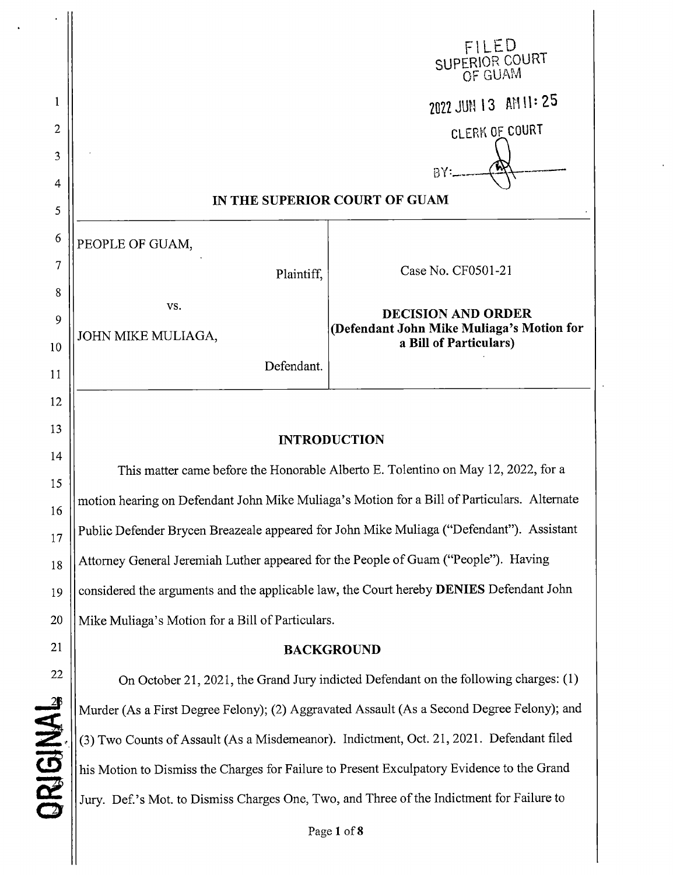|                                                                                             | FILED<br>SUPERIOR COURT                                             |  |
|---------------------------------------------------------------------------------------------|---------------------------------------------------------------------|--|
|                                                                                             |                                                                     |  |
|                                                                                             | 2022 JUN 13 AM 11:25                                                |  |
|                                                                                             | CLERK OF COURT                                                      |  |
|                                                                                             | BY:                                                                 |  |
| IN THE SUPERIOR COURT OF GUAM                                                               |                                                                     |  |
| PEOPLE OF GUAM,                                                                             |                                                                     |  |
| Plaintiff,                                                                                  | Case No. CF0501-21                                                  |  |
| VS.                                                                                         | <b>DECISION AND ORDER</b>                                           |  |
| JOHN MIKE MULIAGA,                                                                          | (Defendant John Mike Muliaga's Motion for<br>a Bill of Particulars) |  |
| Defendant.                                                                                  |                                                                     |  |
|                                                                                             |                                                                     |  |
| <b>INTRODUCTION</b>                                                                         |                                                                     |  |
| This matter came before the Honorable Alberto E. Tolentino on May 12, 2022, for a           |                                                                     |  |
| motion hearing on Defendant John Mike Muliaga's Motion for a Bill of Particulars. Alternate |                                                                     |  |
| Public Defender Brycen Breazeale appeared for John Mike Muliaga ("Defendant"). Assistant    |                                                                     |  |
| Attorney General Jeremiah Luther appeared for the People of Guam ("People"). Having         |                                                                     |  |
|                                                                                             |                                                                     |  |

considered the arguments and the applicable law, the Court hereby **DENIES** Defendant John

Mike Muliaga's Motion for a Bill of Particulars.

1

2

3

4

5

6

7

8

9

10

11

12

13

14

15

16

17

18

19

20

21

22

 $\frac{2}{3}$ 

2

**Z** 

*c y*

## **BACKGROUND**

On October 21, 2021, the Grand Jury indicted Defendant on the following charges: (1) Murder (As a First Degree Felony), (2) Aggravated Assault (As a Second Degree Felony), and (3) Two Counts of Assault (As a Misdemeanor). Indictment, Oct. 21, 2021. Defendant filed his Motion to Dismiss the Charges for Failure to Present Exculpatory Evidence to the Grand Jury. Def.'s Mot. to Dismiss Charges One, Two, and Three of the Indictment for Failure to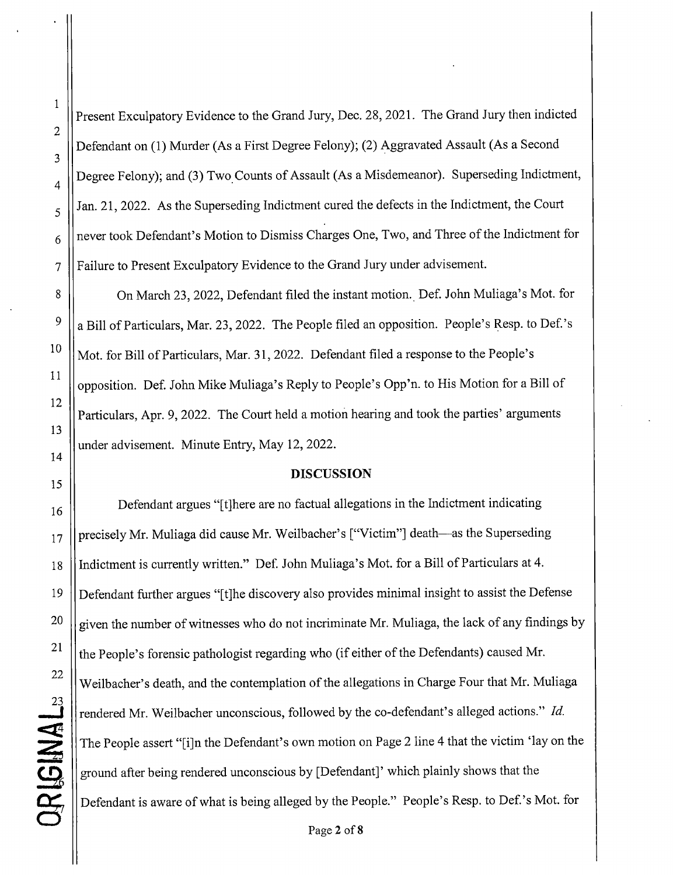**I**

Present Exculpatory Evidence to the Grand Jury, Dec. 28, 2021. The Grand Jury then indicted Defendant on (1) Murder (As a First Degree Felony), (2) Aggravated Assault (As a Second Degree Felony), and (3) Two. Counts of Assault (As a Misdemeanor). Superseding Indictment, Jan. 21, 2022. As the Superseding Indictment cured the defects in the Indictment, the Court never took Defendant's Motion to Dismiss Charges One, Two, and Three of the Indictment for 7 Failure to Present Exculpatory Evidence to the Grand Jury under advisement.

8 | On March 23, 2022, Defendant filed the instant motion. Def. John Muliaga's Mot. for  $9 \parallel a$  Bill of Particulars, Mar. 23, 2022. The People filed an opposition. People's Resp. to Def.'s  $\frac{10}{10}$  Mot. for Bill of Particulars, Mar. 31, 2022. Defendant filed a response to the People's opposition. Def. John Mike Muliaga's Reply to People's Opp'n. to His Motion for a Bill of Particulars, Apr. 9, 2022. The Court held a motion hearing and took the parties' arguments under advisement. Minute Entry, May 12, 2022.

## **DISCUSSION**

16 **Defendant argues "[t]here are no factual allegations in the Indictment indicating**  $_{17}$  || precisely Mr. Muliaga did cause Mr. Weilbacher's ["Victim"] death—as the Superseding 18 Indictment is currently written." Def. John Muliaga's Mot. for a Bill of Particulars at 4. 19 Defendant further argues "[t]he discovery also provides minimal insight to assist the Defense  $20$   $\parallel$  given the number of witnesses who do not incriminate Mr. Muliaga, the lack of any findings by the People's forensic pathologist regarding who (if either of the Defendants) caused Mr. Weilbaeher's death, and the contemplation of the allegations in Charge Four that Mr. Muliaga rendered Mr. Weilbacher unconscious, followed by the co-defendant's alleged actions." Id. The People assert "[i]n the Defendant's own motion on Page 2 line 4 that the victim 'lay on the ground after being rendered unconscious by [Defendant]' which plainly shows that the Defendant is aware of what is being alleged by the People." People's Resp. to Def.'s Mot. for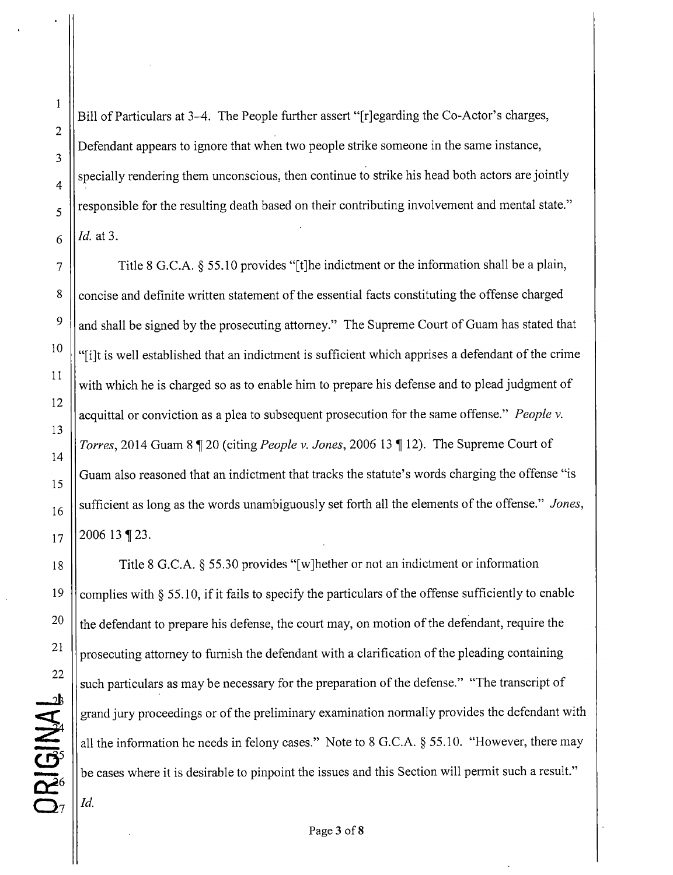**\**

Bill of Particulars at 3-4. The People further assert "[r]egarding the Co-Actor's charges, Defendant appears to ignore that when two people strike someone in the same instance, specially rendering them unconscious, then continue to strike his head both actors are jointly responsible for the resulting death based on their contributing involvement and mental state."  $6 \parallel$ *Id.* at 3.

7  $\parallel$  Title 8 G.C.A. § 55.10 provides "[t]he indictment or the information shall be a plain, 8 concise and definite written statement of the essential facts constituting the offense charged  $9 \parallel$  and shall be signed by the prosecuting attorney." The Supreme Court of Guam has stated that <sup>10</sup>  $\|\cdot\|$  is well established that an indictment is sufficient which apprises a defendant of the crime with which he is charged so as to enable him to prepare his defense and to plead judgment of acquittal or conviction as a plea to subsequent prosecution for the same offense." People v. Torres, 2014 Guam 8 ¶ 20 (citing *People v. Jones*, 2006 13 ¶ 12). The Supreme Court of Guam also reasoned that an indictment that tracks the statute's words charging the offense "is 16 Sufficient as long as the words unambiguously set forth all the elements of the offense." *Jones*,  $17 \parallel 200613 \parallel 23.$ 

18 | Title 8 G.C.A. § 55.30 provides "[w]hether or not an indictment or information 19 | complies with  $\S$  55.10, if it fails to specify the particulars of the offense sufficiently to enable <sup>20</sup>  $\|$  the defendant to prepare his defense, the court may, on motion of the defendant, require the <sup>21</sup>  $\parallel$  prosecuting attorney to furnish the defendant with a clarification of the pleading containing such particulars as may be necessary for the preparation of the defense." "The transcript of grand jury proceedings or of the preliminary examination normally provides the defendant with all the information he needs in felony cases." Note to 8 G.C.A. § 55.10. "However, there may be cases where it is desirable to pinpoint the issues and this Section will permit such a result."

*Id.*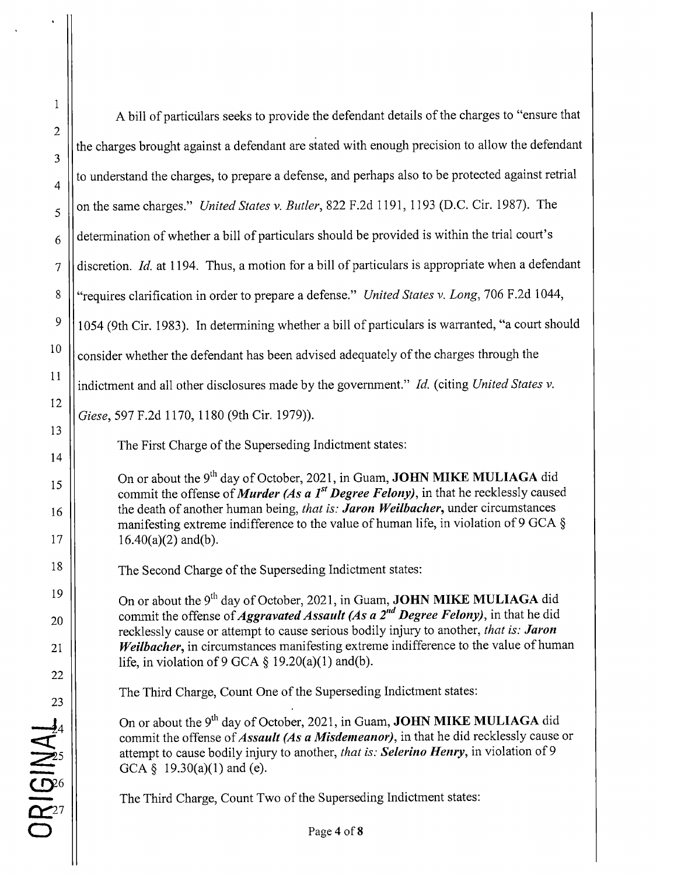| $\mathbf 1$                                                                                                                                                                                        |                                                                                                                                                                                                                                                                                                                    |
|----------------------------------------------------------------------------------------------------------------------------------------------------------------------------------------------------|--------------------------------------------------------------------------------------------------------------------------------------------------------------------------------------------------------------------------------------------------------------------------------------------------------------------|
| $\overline{c}$                                                                                                                                                                                     | A bill of particulars seeks to provide the defendant details of the charges to "ensure that                                                                                                                                                                                                                        |
| 3                                                                                                                                                                                                  | the charges brought against a defendant are stated with enough precision to allow the defendant                                                                                                                                                                                                                    |
| 4                                                                                                                                                                                                  | to understand the charges, to prepare a defense, and perhaps also to be protected against retrial                                                                                                                                                                                                                  |
| 5                                                                                                                                                                                                  | on the same charges." United States v. Butler, 822 F.2d 1191, 1193 (D.C. Cir. 1987). The                                                                                                                                                                                                                           |
| 6                                                                                                                                                                                                  | determination of whether a bill of particulars should be provided is within the trial court's                                                                                                                                                                                                                      |
| $\overline{7}$                                                                                                                                                                                     | discretion. Id. at 1194. Thus, a motion for a bill of particulars is appropriate when a defendant                                                                                                                                                                                                                  |
| $\,$ 8 $\,$                                                                                                                                                                                        | "requires clarification in order to prepare a defense." United States v. Long, 706 F.2d 1044,                                                                                                                                                                                                                      |
| $\mathfrak g$                                                                                                                                                                                      | 1054 (9th Cir. 1983). In determining whether a bill of particulars is warranted, "a court should                                                                                                                                                                                                                   |
| 10                                                                                                                                                                                                 | consider whether the defendant has been advised adequately of the charges through the                                                                                                                                                                                                                              |
| 11                                                                                                                                                                                                 | indictment and all other disclosures made by the government." Id. (citing United States v.                                                                                                                                                                                                                         |
| 12                                                                                                                                                                                                 | Giese, 597 F.2d 1170, 1180 (9th Cir. 1979)).                                                                                                                                                                                                                                                                       |
| 13                                                                                                                                                                                                 | The First Charge of the Superseding Indictment states:                                                                                                                                                                                                                                                             |
| 14                                                                                                                                                                                                 | On or about the 9 <sup>th</sup> day of October, 2021, in Guam, <b>JOHN MIKE MULIAGA</b> did                                                                                                                                                                                                                        |
| 15<br>16                                                                                                                                                                                           | commit the offense of <i>Murder (As a 1<sup>st</sup> Degree Felony)</i> , in that he recklessly caused<br>the death of another human being, that is: Jaron Weilbacher, under circumstances<br>manifesting extreme indifference to the value of human life, in violation of 9 GCA §                                 |
| 17                                                                                                                                                                                                 | $16.40(a)(2)$ and(b).                                                                                                                                                                                                                                                                                              |
| 18                                                                                                                                                                                                 | The Second Charge of the Superseding Indictment states:                                                                                                                                                                                                                                                            |
| 19                                                                                                                                                                                                 | On or about the 9 <sup>th</sup> day of October, 2021, in Guam, JOHN MIKE MULIAGA did                                                                                                                                                                                                                               |
| 20                                                                                                                                                                                                 | commit the offense of <i>Aggravated Assault (As a 2<sup>nd</sup> Degree Felony)</i> , in that he did<br>recklessly cause or attempt to cause serious bodily injury to another, that is: Jaron                                                                                                                      |
| 21                                                                                                                                                                                                 | Weilbacher, in circumstances manifesting extreme indifference to the value of human<br>life, in violation of 9 GCA $\S$ 19.20(a)(1) and(b).                                                                                                                                                                        |
| 22                                                                                                                                                                                                 | The Third Charge, Count One of the Superseding Indictment states:                                                                                                                                                                                                                                                  |
| 23<br>$OR_{27} \setlength{\scriptsize\substack{\bullet \\ \bullet \\ \bullet}}\nolimits_{\mathcal{B}}\nolimits_{\mathcal{B}}\nolimits_{\mathcal{A}}\nolimits_{\mathcal{A}}\nolimits_{\mathcal{A}}$ | On or about the 9 <sup>th</sup> day of October, 2021, in Guam, <b>JOHN MIKE MULIAGA</b> did<br>commit the offense of <i>Assault (As a Misdemeanor)</i> , in that he did recklessly cause or<br>attempt to cause bodily injury to another, that is: Selerino Henry, in violation of 9<br>GCA § 19.30(a)(1) and (e). |
|                                                                                                                                                                                                    | The Third Charge, Count Two of the Superseding Indictment states:                                                                                                                                                                                                                                                  |
|                                                                                                                                                                                                    | Page 4 of 8                                                                                                                                                                                                                                                                                                        |
|                                                                                                                                                                                                    |                                                                                                                                                                                                                                                                                                                    |

\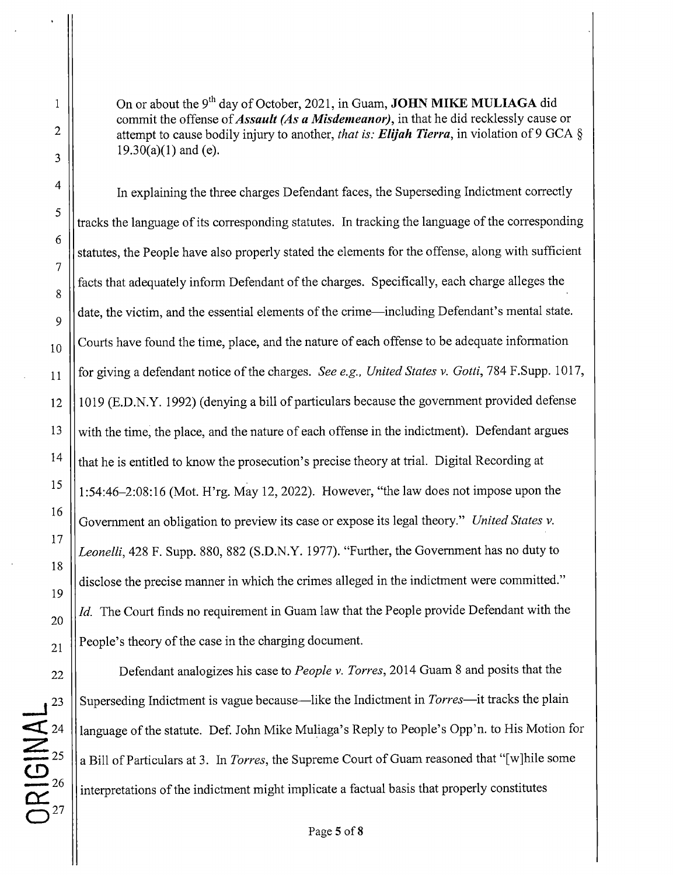On or about the 9<sup>th</sup> day of October, 2021, in Guam, **JOHN MIKE MULIAGA** did commit the offense of *Assault (As a Misdemeanor)*, in that he did recklessly cause or attempt to cause bodily injury to another, *that is: Elijah Tierra,* in violation of 9 GCA §  $19.30(a)(1)$  and (e).

In explaining the three charges Defendant faces, the Superseding Indictment correctly tracks the language of its corresponding statutes. In tracking the language of the corresponding statutes, the People have also properly stated the elements for the offense, along with sufficient facts that adequately inform Defendant of the charges. Specifically, each charge alleges the date, the victim, and the essential elements of the crime—including Defendant's mental state.  $_{10}$  | Courts have found the time, place, and the nature of each offense to be adequate information <sup>11</sup> for giving a defendant notice of the charges. *See e.g., United States v. Gotta,* 784 F.Supp. 1017, 12 1019 (E.D.N.Y. 1992) (denying a bi11 of particulars because the government provided defense  $13$  With the time, the place, and the nature of each offense in the indictment). Defendant argues <sup>14</sup>  $\|\$ that he is entitled to know the prosecution's precise theory at trial. Digital Recording at <sup>15</sup>  $\|$  1:54:46–2:08:16 (Mot. H'rg. May 12, 2022). However, "the law does not impose upon the Government an obligation to preview its case or expose its legal theory." *United States v.* Leonelli, 428 F. Supp. 880, 882 (S.D.N.Y. 1977). "Further, the Government has no duty to disclose the precise manner in which the crimes alleged in the indictment were committed."  $20$  ||*Id.* The Court finds no requirement in Guam law that the People provide Defendant with the  $_{21}$  || People's theory of the case in the charging document.

22 **Defendant analogizes his case to People v. Torres, 2014 Guam 8 and posits that the** 23  $\parallel$  Superseding Indictment is vague because—like the Indictment in *Torres*—it tracks the plain language of the statute. Def. John Mike Muliaga's Reply to People's Opp'n. to His Motion for a Bill of Particulars at 3. In *Torres*, the Supreme Court of Guam reasoned that "[w]hile some interpretations of the indictment might implicate a factual basis that properly constitutes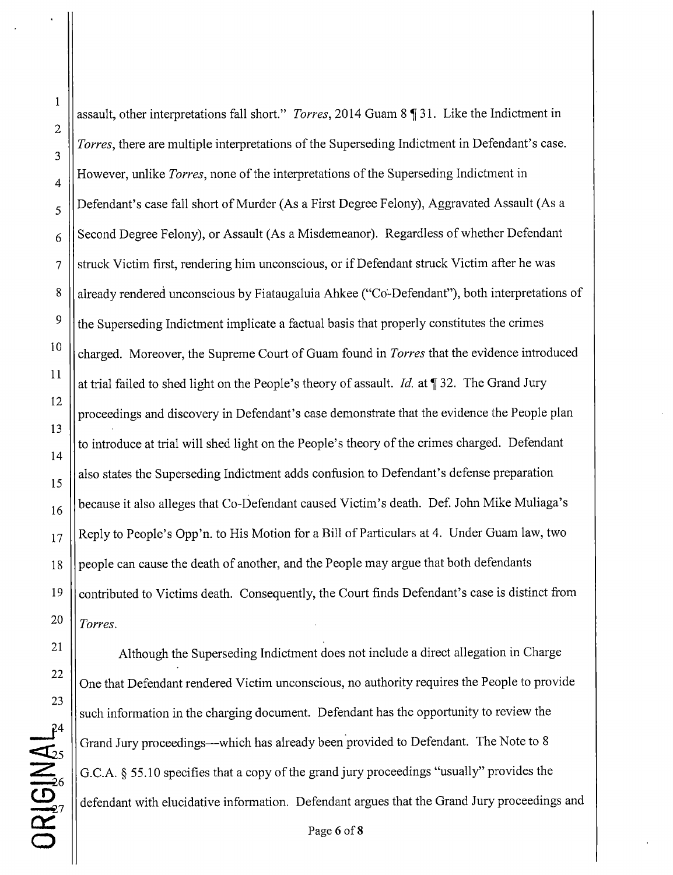assault, other interpretations fall short." *Torres*, 2014 Guam 8 1 31. Like the Indictment in Torres, there are multiple interpretations of the Superseding Indictment in Defendant's case.  $\mathbf{4}$  However, unlike *Torres*, none of the interpretations of the Superseding Indictment in 5 || Defendant's case fall short of Murder (As a First Degree Felony), Aggravated Assault (As a Second Degree Felony), or Assault (As a Misdemeanor). Regardless of whether Defendant  $7$  struck Victim first, rendering him unconscious, or if Defendant struck Victim after he was 8 All already rendered unconscious by Fiataugaluia Ahkee ("Co-Defendant"), both interpretations of  $\frac{9}{10}$  the Superseding Indictment implicate a factual basis that properly constitutes the crimes <sup>10</sup> charged. Moreover, the Supreme Court of Guam found in *Torres* that the evidence introduced at trial failed to shed light on the People's theory of assault. *Id.* at  $\parallel$  32. The Grand Jury proceedings and discovery in Defendant's case demonstrate that the evidence the People plan to introduce at trial will shed light on the People's theory of the crimes charged. Defendant also states the Superseding Indictment adds confusion to Defendant's defense preparation 16 | because it also alleges that Co-Defendant caused Victim's death. Def. John Mike Muliaga's  $_{17}$  | Reply to People's Opp'n. to His Motion for a Bill of Particulars at 4. Under Guam law, two 18 || people can cause the death of another, and the People may argue that both defendants 19 Contributed to Victims death. Consequently, the Court finds Defendant's case is distinct from  $20$  | *Torres.* 

<sup>21</sup> Although the Superseding Indictment does not include a direct allegation in Charge One that Defendant rendered Victim unconscious, no authority requires the People to provide such information in the charging document. Defendant has the opportunity to review the Grand Jury proceedings—which has already been provided to Defendant. The Note to 8 6 G.C.A. § 55.10 specifies that a copy of the grand jury proceedings "usually" provides the defendant with elucidative information. Defendant argues that the Grand Jury proceedings and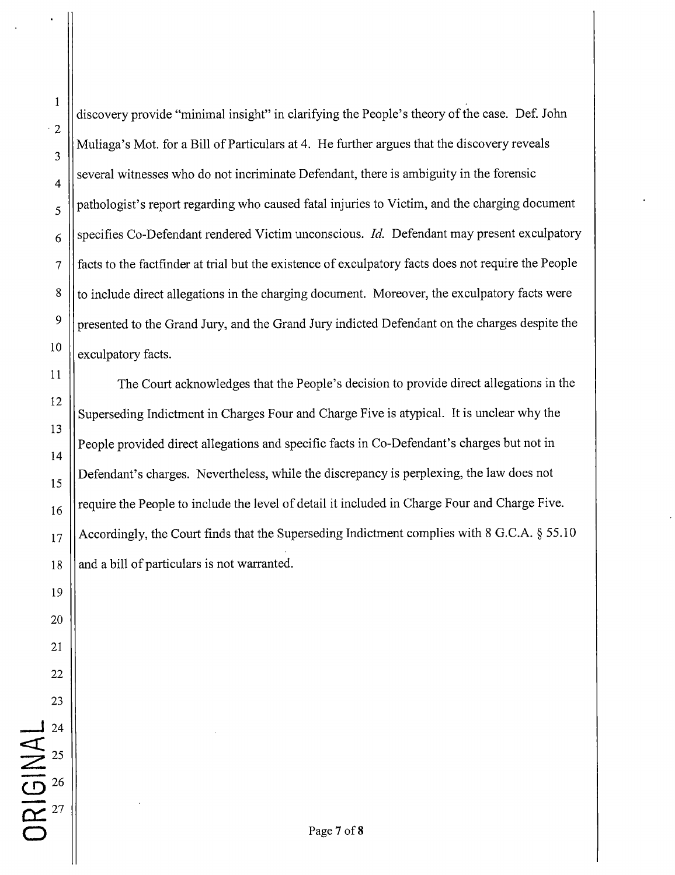discovery provide "minimal insight" in clarifying the People's theory of the case. Def. John  $\cdot$  2 Muliaga's Mot. for a Bill of Particulars at 4. He further argues that the discovery reveals 3  $\mathbf{q}$   $\parallel$  several witnesses who do not incriminate Defendant, there is ambiguity in the forensic  $\sim$   $\sim$   $\sim$   $\sim$  pathologist's report regarding who caused fatal injuries to Victim, and the charging document 6 specifies Co-Defendant rendered Victim unconscious. Id. Defendant may present exculpatory 7 facts to the factinder at trial but the existence of exculpatory facts does not require the People  $8 \parallel t_{\rm o}$  include direct allegations in the charging document. Moreover, the exculpatory facts were  $9 \parallel$  presented to the Grand Jury, and the Grand Jury indicted Defendant on the charges despite the  $\left\vert \frac{10}{\text{exculpatory facts}} \right\vert$ 11 The Court acknowledges that the People's decision to provide direct allegations in the 12 Superseding Indictment in Charges Four and Charge Five is atypical. It is unclear why the 13 People provided direct allegations and specific facts in Co-Defendant's charges but not in 14  $\|15\|$  Defendant's charges. Nevertheless, while the discrepancy is perplexing, the law does not  $_{16}$  require the People to include the level of detail it included in Charge Four and Charge Five.  $_{17}$  || Accordingly, the Court finds that the Superseding Indictment complies with 8 G.C.A. § 55.10  $18$  || and a bill of particulars is not warranted. 19 20 21

**I**

1

22

23

24

..\_\_l

Z

 $\overline{\bigoplus}$  26

 $\alpha$ <sup>27</sup>

25